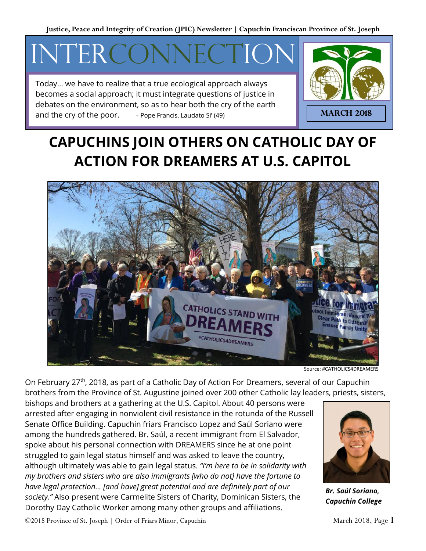**Justice, Peace and Integrity of Creation (JPIC) Newsletter | Capuchin Franciscan Province of St. Joseph**

# INTERCON

Today… we have to realize that a true ecological approach always becomes a social approach; it must integrate questions of justice in debates on the environment, so as to hear both the cry of the earth and the cry of the poor. – Pope Francis, Laudato Si' (49)



## **CAPUCHINS JOIN OTHERS ON CATHOLIC DAY OF ACTION FOR DREAMERS AT U.S. CAPITOL**



Source: #CATHOLICS4DREAMERS

On February 27<sup>th</sup>, 2018, as part of a Catholic Day of Action For Dreamers, several of our Capuchin brothers from the Province of St. Augustine joined over 200 other Catholic lay leaders, priests, sisters,

bishops and brothers at a gathering at the U.S. Capitol. About 40 persons were arrested after engaging in nonviolent civil resistance in the rotunda of the Russell Senate Office Building. Capuchin friars Francisco Lopez and Saúl Soriano were among the hundreds gathered. Br. Saúl, a recent immigrant from El Salvador, spoke about his personal connection with DREAMERS since he at one point struggled to gain legal status himself and was asked to leave the country, although ultimately was able to gain legal status. *"I'm here to be in solidarity with my brothers and sisters who are also immigrants [who do not] have the fortune to have legal protection... [and have] great potential and are definitely part of our society."* Also present were Carmelite Sisters of Charity, Dominican Sisters, the Dorothy Day Catholic Worker among many other groups and affiliations.



*Br. Saúl Soriano, [Capuchin College](http://capuchincollege.com/)*

©2018 Province of St. Joseph | Order of Friars Minor, Capuchin March 2018, Page 1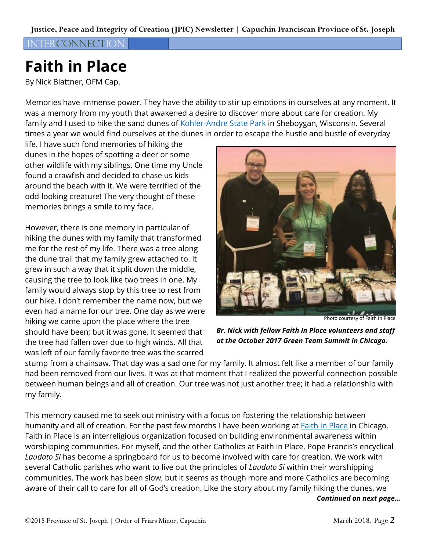#### INTERCONNECTION

## **Faith in Place**

By Nick Blattner, OFM Cap.

Memories have immense power. They have the ability to stir up emotions in ourselves at any moment. It was a memory from my youth that awakened a desire to discover more about care for creation. My family and I used to hike the sand dunes of [Kohler-Andre State Park](https://dnr.wi.gov/topic/parks/name/kohlerandrae/) in Sheboygan, Wisconsin. Several times a year we would find ourselves at the dunes in order to escape the hustle and bustle of everyday

life. I have such fond memories of hiking the dunes in the hopes of spotting a deer or some other wildlife with my siblings. One time my Uncle found a crawfish and decided to chase us kids around the beach with it. We were terrified of the odd-looking creature! The very thought of these memories brings a smile to my face.

However, there is one memory in particular of hiking the dunes with my family that transformed me for the rest of my life. There was a tree along the dune trail that my family grew attached to. It grew in such a way that it split down the middle, causing the tree to look like two trees in one. My family would always stop by this tree to rest from our hike. I don't remember the name now, but we even had a name for our tree. One day as we were hiking we came upon the place where the tree should have been; but it was gone. It seemed that the tree had fallen over due to high winds. All that was left of our family favorite tree was the scarred



Photo courtesy of Faith In Place

*Br. Nick with fellow Faith In Place volunteers and staff at the October 2017 Green Team Summit in Chicago.*

stump from a chainsaw. That day was a sad one for my family. It almost felt like a member of our family had been removed from our lives. It was at that moment that I realized the powerful connection possible between human beings and all of creation. Our tree was not just another tree; it had a relationship with my family.

This memory caused me to seek out ministry with a focus on fostering the relationship between humanity and all of creation. For the past few months I have been working at [Faith in Place](https://www.faithinplace.org/) in Chicago. Faith in Place is an interreligious organization focused on building environmental awareness within worshipping communities. For myself, and the other Catholics at Faith in Place, Pope Francis's encyclical *Laudato Si* has become a springboard for us to become involved with care for creation. We work with several Catholic parishes who want to live out the principles of *Laudato Si* within their worshipping communities. The work has been slow, but it seems as though more and more Catholics are becoming aware of their call to care for all of God's creation. Like the story about my family hiking the dunes, we

*Continued on next page…*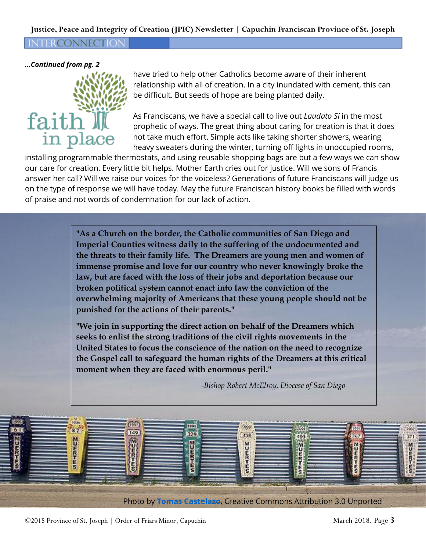#### **Justice, Peace and Integrity of Creation (JPIC) Newsletter | Capuchin Franciscan Province of St. Joseph**

**NTERCONNECTION** 

*…Continued from pg. 2*



have tried to help other Catholics become aware of their inherent relationship with all of creation. In a city inundated with cement, this can be difficult. But seeds of hope are being planted daily.

As Franciscans, we have a special call to live out *Laudato Si* in the most prophetic of ways. The great thing about caring for creation is that it does not take much effort. Simple acts like taking shorter showers, wearing heavy sweaters during the winter, turning off lights in unoccupied rooms,

installing programmable thermostats, and using reusable shopping bags are but a few ways we can show our care for creation. Every little bit helps. Mother Earth cries out for justice. Will we sons of Francis answer her call? Will we raise our voices for the voiceless? Generations of future Franciscans will judge us on the type of response we will have today. May the future Franciscan history books be filled with words of praise and not words of condemnation for our lack of action.

> **"As a Church on the border, the Catholic communities of San Diego and Imperial Counties witness daily to the suffering of the undocumented and the threats to their family life. The Dreamers are young men and women of immense promise and love for our country who never knowingly broke the law, but are faced with the loss of their jobs and deportation because our broken political system cannot enact into law the conviction of the overwhelming majority of Americans that these young people should not be punished for the actions of their parents."**

> **"We join in supporting the direct action on behalf of the Dreamers which seeks to enlist the strong traditions of the civil rights movements in the United States to focus the conscience of the nation on the need to recognize the Gospel call to safeguard the human rights of the Dreamers at this critical moment when they are faced with enormous peril."**

> > -*Bishop Robert McElroy*, *Diocese of San Diego*



©2018 Province of St. Joseph | Order of Friars Minor, Capuchin March 2018, Page 3